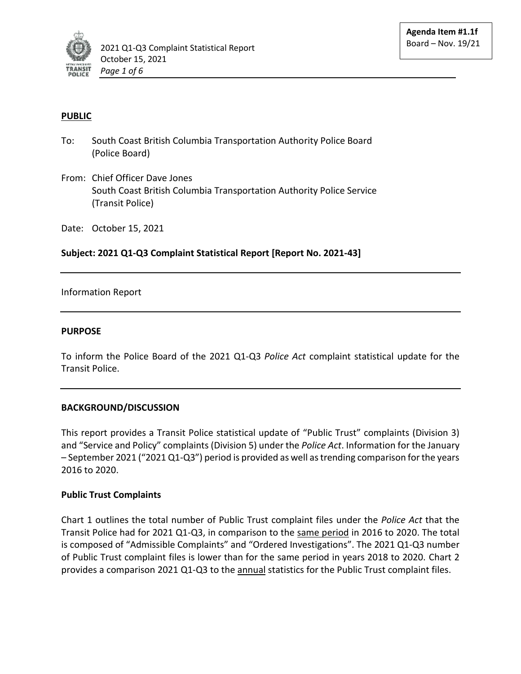

# **PUBLIC**

- To: South Coast British Columbia Transportation Authority Police Board (Police Board)
- From: Chief Officer Dave Jones South Coast British Columbia Transportation Authority Police Service (Transit Police)

Date: October 15, 2021

# **Subject: 2021 Q1-Q3 Complaint Statistical Report [Report No. 2021-43]**

### Information Report

### **PURPOSE**

To inform the Police Board of the 2021 Q1-Q3 *Police Act* complaint statistical update for the Transit Police.

### **BACKGROUND/DISCUSSION**

This report provides a Transit Police statistical update of "Public Trust" complaints (Division 3) and "Service and Policy" complaints (Division 5) under the *Police Act*. Information for the January – September 2021 ("2021 Q1-Q3") period is provided as well as trending comparison for the years 2016 to 2020.

### **Public Trust Complaints**

Chart 1 outlines the total number of Public Trust complaint files under the *Police Act* that the Transit Police had for 2021 Q1-Q3, in comparison to the same period in 2016 to 2020. The total is composed of "Admissible Complaints" and "Ordered Investigations". The 2021 Q1-Q3 number of Public Trust complaint files is lower than for the same period in years 2018 to 2020. Chart 2 provides a comparison 2021 Q1-Q3 to the annual statistics for the Public Trust complaint files.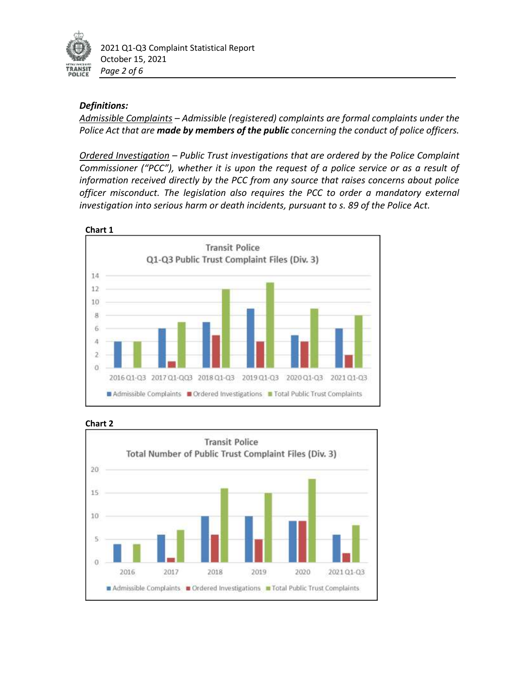

2021 Q1-Q3 Complaint Statistical Report October 15, 2021 *Page 2 of 6*

# *Definitions:*

*Admissible Complaints – Admissible (registered) complaints are formal complaints under the Police Act that are made by members of the public concerning the conduct of police officers.* 

*Ordered Investigation – Public Trust investigations that are ordered by the Police Complaint Commissioner ("PCC"), whether it is upon the request of a police service or as a result of information received directly by the PCC from any source that raises concerns about police officer misconduct. The legislation also requires the PCC to order a mandatory external investigation into serious harm or death incidents, pursuant to s. 89 of the Police Act.* 





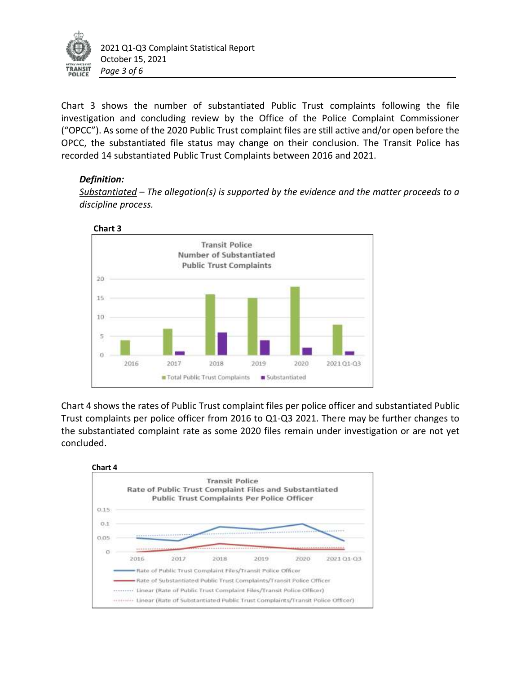

Chart 3 shows the number of substantiated Public Trust complaints following the file investigation and concluding review by the Office of the Police Complaint Commissioner ("OPCC"). As some of the 2020 Public Trust complaint files are still active and/or open before the OPCC, the substantiated file status may change on their conclusion. The Transit Police has recorded 14 substantiated Public Trust Complaints between 2016 and 2021.

# *Definition:*

*Substantiated – The allegation(s) is supported by the evidence and the matter proceeds to a discipline process.* 



Chart 4 shows the rates of Public Trust complaint files per police officer and substantiated Public Trust complaints per police officer from 2016 to Q1-Q3 2021. There may be further changes to the substantiated complaint rate as some 2020 files remain under investigation or are not yet concluded.

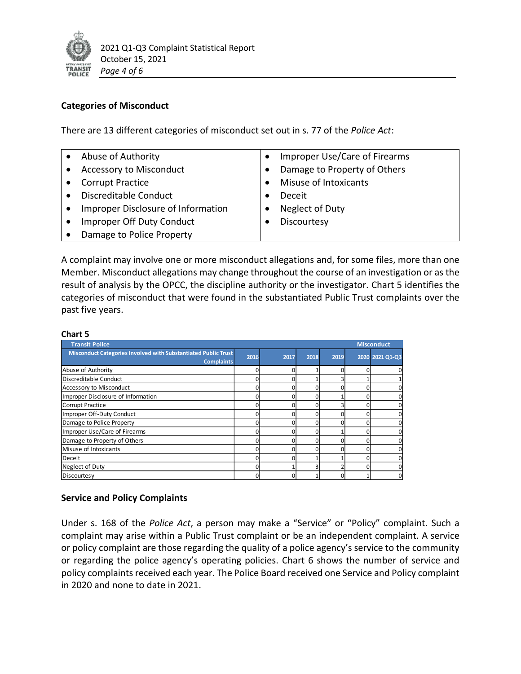

# **Categories of Misconduct**

There are 13 different categories of misconduct set out in s. 77 of the *Police Act*:

| Abuse of Authority                        | Improper Use/Care of Firearms |
|-------------------------------------------|-------------------------------|
| Accessory to Misconduct                   | Damage to Property of Others  |
| <b>Corrupt Practice</b>                   | Misuse of Intoxicants         |
| Discreditable Conduct                     | Deceit                        |
| <b>Improper Disclosure of Information</b> | Neglect of Duty               |
| Improper Off Duty Conduct                 | Discourtesy                   |
| Damage to Police Property                 |                               |

A complaint may involve one or more misconduct allegations and, for some files, more than one Member. Misconduct allegations may change throughout the course of an investigation or as the result of analysis by the OPCC, the discipline authority or the investigator. Chart 5 identifies the categories of misconduct that were found in the substantiated Public Trust complaints over the past five years.

### **Chart 5**

| <b>Transit Police</b>                                                               |      | <b>Misconduct</b> |      |      |   |                 |
|-------------------------------------------------------------------------------------|------|-------------------|------|------|---|-----------------|
| Misconduct Categories Involved with Substantiated Public Trust<br><b>Complaints</b> | 2016 | 2017              | 2018 | 2019 |   | 2020 2021 Q1-Q3 |
| Abuse of Authority                                                                  |      |                   |      |      |   |                 |
| Discreditable Conduct                                                               |      |                   |      |      |   |                 |
| Accessory to Misconduct                                                             |      |                   | 0    |      | n |                 |
| Improper Disclosure of Information                                                  |      |                   | n    |      |   |                 |
| Corrupt Practice                                                                    |      |                   |      |      |   |                 |
| Improper Off-Duty Conduct                                                           |      |                   | n    |      |   |                 |
| Damage to Police Property                                                           |      |                   | n    |      |   |                 |
| Improper Use/Care of Firearms                                                       |      |                   | n    |      |   |                 |
| Damage to Property of Others                                                        |      |                   | n    |      |   |                 |
| Misuse of Intoxicants                                                               |      |                   | O.   |      |   |                 |
| Deceit                                                                              |      |                   |      |      |   |                 |
| Neglect of Duty                                                                     |      |                   |      |      | n |                 |
| Discourtesy                                                                         |      |                   |      |      |   |                 |

### **Service and Policy Complaints**

Under s. 168 of the *Police Act*, a person may make a "Service" or "Policy" complaint. Such a complaint may arise within a Public Trust complaint or be an independent complaint. A service or policy complaint are those regarding the quality of a police agency's service to the community or regarding the police agency's operating policies. Chart 6 shows the number of service and policy complaints received each year. The Police Board received one Service and Policy complaint in 2020 and none to date in 2021.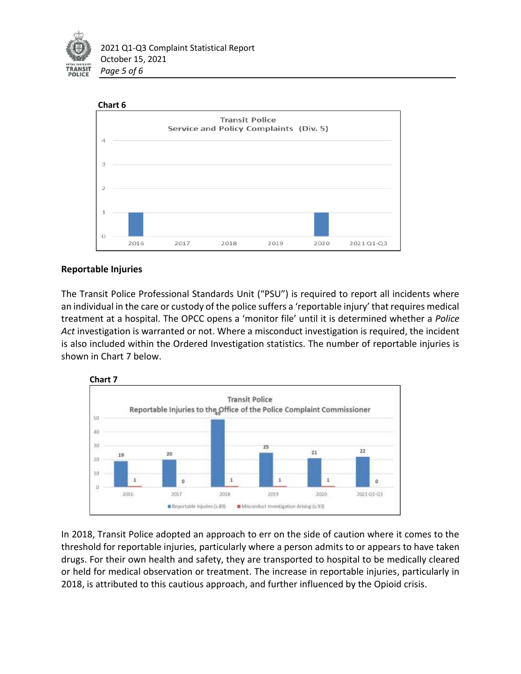



# **Reportable Injuries**

The Transit Police Professional Standards Unit ("PSU") is required to report all incidents where an individual in the care or custody of the police suffers a 'reportable injury' that requires medical treatment at a hospital. The OPCC opens a 'monitor file' until it is determined whether a *Police Act* investigation is warranted or not. Where a misconduct investigation is required, the incident is also included within the Ordered Investigation statistics. The number of reportable injuries is shown in Chart 7 below.



In 2018, Transit Police adopted an approach to err on the side of caution where it comes to the threshold for reportable injuries, particularly where a person admits to or appears to have taken drugs. For their own health and safety, they are transported to hospital to be medically cleared or held for medical observation or treatment. The increase in reportable injuries, particularly in 2018, is attributed to this cautious approach, and further influenced by the Opioid crisis.